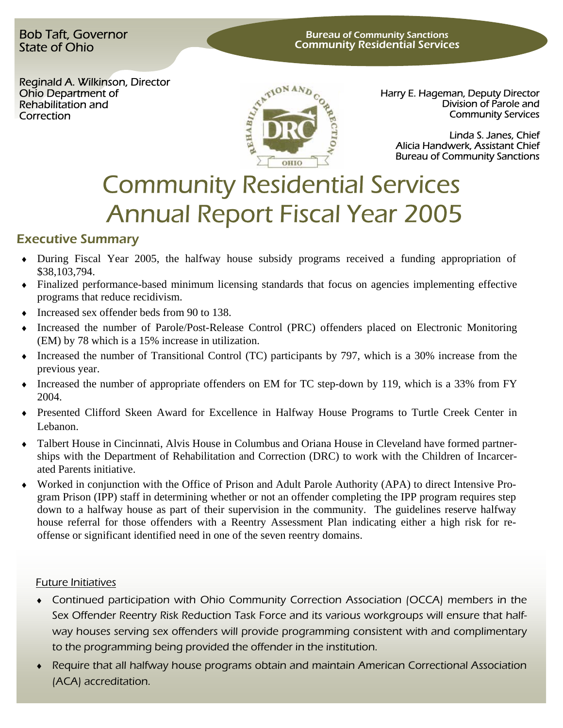#### Ī Bob Taft, Governor State of Ohio

Reginald A. Wilkinson, Director Ohio Department of Rehabilitation and **Correction** 



Harry E. Hageman, Deputy Director Division of Parole and Community Services

 Linda S. Janes, Chief Alicia Handwerk, Assistant Chief Bureau of Community Sanctions

# Community Residential Services Annual Report Fiscal Year 2005

## Executive Summary

- ♦ During Fiscal Year 2005, the halfway house subsidy programs received a funding appropriation of \$38,103,794.
- ♦ Finalized performance-based minimum licensing standards that focus on agencies implementing effective programs that reduce recidivism.
- ♦ Increased sex offender beds from 90 to 138.
- ♦ Increased the number of Parole/Post-Release Control (PRC) offenders placed on Electronic Monitoring (EM) by 78 which is a 15% increase in utilization.
- ♦ Increased the number of Transitional Control (TC) participants by 797, which is a 30% increase from the previous year.
- ♦ Increased the number of appropriate offenders on EM for TC step-down by 119, which is a 33% from FY 2004.
- ♦ Presented Clifford Skeen Award for Excellence in Halfway House Programs to Turtle Creek Center in Lebanon.
- ♦ Talbert House in Cincinnati, Alvis House in Columbus and Oriana House in Cleveland have formed partnerships with the Department of Rehabilitation and Correction (DRC) to work with the Children of Incarcerated Parents initiative.
- Worked in conjunction with the Office of Prison and Adult Parole Authority (APA) to direct Intensive Program Prison (IPP) staff in determining whether or not an offender completing the IPP program requires step down to a halfway house as part of their supervision in the community. The guidelines reserve halfway house referral for those offenders with a Reentry Assessment Plan indicating either a high risk for reoffense or significant identified need in one of the seven reentry domains.

## Future Initiatives

- ♦ Continued participation with Ohio Community Correction Association (OCCA) members in the Sex Offender Reentry Risk Reduction Task Force and its various workgroups will ensure that halfway houses serving sex offenders will provide programming consistent with and complimentary to the programming being provided the offender in the institution.
- Require that all halfway house programs obtain and maintain American Correctional Association (ACA) accreditation.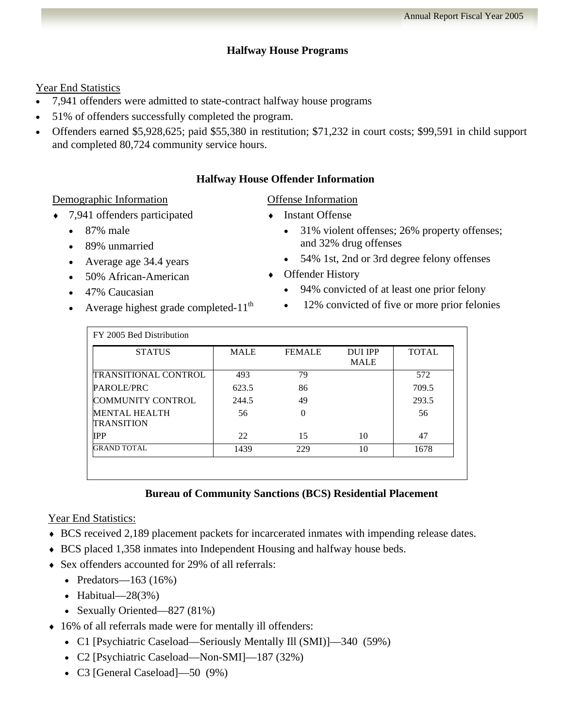## **Halfway House Programs**

## Year End Statistics

- 7,941 offenders were admitted to state-contract halfway house programs
- 51% of offenders successfully completed the program.
- Offenders earned \$5,928,625; paid \$55,380 in restitution; \$71,232 in court costs; \$99,591 in child support and completed 80,724 community service hours.

## **Halfway House Offender Information**

#### Demographic Information

- 
- ♦ 7,941 offenders participated
	- 87% male
	- 89% unmarried
	- Average age 34.4 years
	- 50% African-American
	- 47% Caucasian
	- Average highest grade completed- $11<sup>th</sup>$
- Offense Information
- Instant Offense
	- 31% violent offenses; 26% property offenses; and 32% drug offenses
	- 54% 1st, 2nd or 3rd degree felony offenses
- ♦ Offender History
	- 94% convicted of at least one prior felony
	- 12% convicted of five or more prior felonies

| <b>STATUS</b>                             | <b>MALE</b> | <b>FEMALE</b> | DUI IPP<br><b>MALE</b> | <b>TOTAL</b> |
|-------------------------------------------|-------------|---------------|------------------------|--------------|
| TRANSITIONAL CONTROL                      | 493         | 79            |                        | 572          |
| PAROLE/PRC                                | 623.5       | 86            |                        | 709.5        |
| COMMUNITY CONTROL                         | 244.5       | 49            |                        | 293.5        |
| <b>MENTAL HEALTH</b><br><b>TRANSITION</b> | 56          | 0             |                        | 56           |
| <b>IPP</b>                                | 22          | 15            | 10                     | 47           |
| <b>GRAND TOTAL</b>                        | 1439        | 229           | 10                     | 1678         |

#### **Bureau of Community Sanctions (BCS) Residential Placement**

Year End Statistics:

- ♦ BCS received 2,189 placement packets for incarcerated inmates with impending release dates.
- ♦ BCS placed 1,358 inmates into Independent Housing and halfway house beds.
- ♦ Sex offenders accounted for 29% of all referrals:
	- Predators—163 (16%)
	- Habitual— $28(3%)$
	- Sexually Oriented—827 (81%)
- ♦ 16% of all referrals made were for mentally ill offenders:
	- C1 [Psychiatric Caseload—Seriously Mentally Ill (SMI)]—340 (59%)
	- C2 [Psychiatric Caseload—Non-SMI]—187 (32%)
	- C3 [General Caseload]—50 (9%)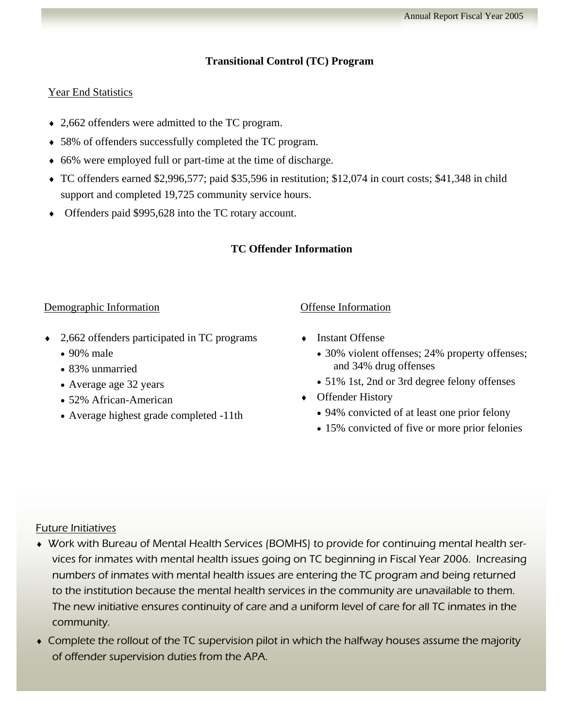## **Transitional Control (TC) Program**

#### Year End Statistics

- ♦ 2,662 offenders were admitted to the TC program.
- ♦ 58% of offenders successfully completed the TC program.
- ♦ 66% were employed full or part-time at the time of discharge.
- ♦ TC offenders earned \$2,996,577; paid \$35,596 in restitution; \$12,074 in court costs; \$41,348 in child support and completed 19,725 community service hours.
- ♦ Offenders paid \$995,628 into the TC rotary account.

#### **TC Offender Information**

#### Demographic Information

- ♦ 2,662 offenders participated in TC programs
	- 90% male
	- 83% unmarried
	- Average age 32 years
	- 52% African-American
	- Average highest grade completed -11th

#### Offense Information

- Instant Offense
	- 30% violent offenses; 24% property offenses; and 34% drug offenses
	- 51% 1st, 2nd or 3rd degree felony offenses
- ◆ Offender History
	- 94% convicted of at least one prior felony
	- 15% convicted of five or more prior felonies

#### Future Initiatives

- ♦ Work with Bureau of Mental Health Services (BOMHS) to provide for continuing mental health services for inmates with mental health issues going on TC beginning in Fiscal Year 2006. Increasing numbers of inmates with mental health issues are entering the TC program and being returned to the institution because the mental health services in the community are unavailable to them. The new initiative ensures continuity of care and a uniform level of care for all TC inmates in the community.
- ♦ Complete the rollout of the TC supervision pilot in which the halfway houses assume the majority of offender supervision duties from the APA.